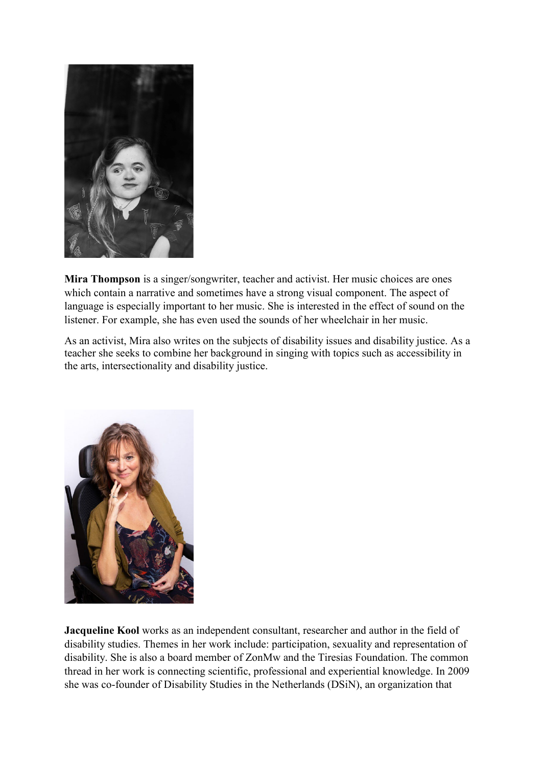

**Mira Thompson** is a singer/songwriter, teacher and activist. Her music choices are ones which contain a narrative and sometimes have a strong visual component. The aspect of language is especially important to her music. She is interested in the effect of sound on the listener. For example, she has even used the sounds of her wheelchair in her music.

As an activist, Mira also writes on the subjects of disability issues and disability justice. As a teacher she seeks to combine her background in singing with topics such as accessibility in the arts, intersectionality and disability justice.



**Jacqueline Kool** works as an independent consultant, researcher and author in the field of disability studies. Themes in her work include: participation, sexuality and representation of disability. She is also a board member of ZonMw and the Tiresias Foundation. The common thread in her work is connecting scientific, professional and experiential knowledge. In 2009 she was co-founder of Disability Studies in the Netherlands (DSiN), an organization that